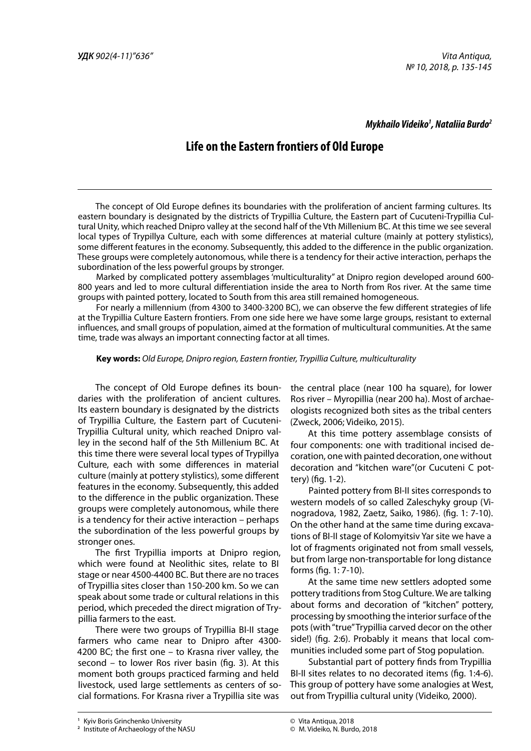# *Mykhailo Videiko1 , Nataliia Burdo2*

# **Life on the Eastern frontiers of Old Europe**

The concept of Old Europe defines its boundaries with the proliferation of ancient farming cultures. Its eastern boundary is designated by the districts of Trypillia Сulture, the Eastern part of Cucuteni-Trypillia Cultural Unity, which reached Dnipro valley at the second half of the Vth Millenium BC. At this time we see several local types of Trypillya Culture, each with some differences at material culture (mainly at pottery stylistics), some different features in the economy. Subsequently, this added to the difference in the public organization. These groups were completely autonomous, while there is a tendency for their active interaction, perhaps the subordination of the less powerful groups by stronger.

Marked by complicated pottery assemblages 'multiculturality" at Dnipro region developed around 600- 800 years and led to more cultural differentiation inside the area to North from Ros river. At the same time groups with painted pottery, located to South from this area still remained homogeneous.

For nearly a millennium (from 4300 to 3400-3200 BC), we can observe the few different strategies of life at the Trypillia Culture Eastern frontiers. From one side here we have some large groups, resistant to external influences, and small groups of population, aimed at the formation of multicultural communities. At the same time, trade was always an important connecting factor at all times.

#### **Key words:** *Old Europe, Dnipro region, Eastern frontier, Trypillia Culture, multiculturality*

The concept of Old Europe defines its boundaries with the proliferation of ancient cultures. Its eastern boundary is designated by the districts of Trypillia Сulture, the Eastern part of Cucuteni-Trypillia Cultural unity, which reached Dnipro valley in the second half of the 5th Millenium BC. At this time there were several local types of Trypillya Culture, each with some differences in material culture (mainly at pottery stylistics), some different features in the economy. Subsequently, this added to the difference in the public organization. These groups were completely autonomous, while there is a tendency for their active interaction – perhaps the subordination of the less powerful groups by stronger ones.

The first Trypillia imports at Dnipro region, which were found at Neolithic sites, relate to BI stage or near 4500-4400 BC. But there are no traces of Trypillia sites closer than 150-200 km. So we can speak about some trade or cultural relations in this period, which preceded the direct migration of Trypillia farmers to the east.

There were two groups of Trypillia BI-II stage farmers who came near to Dnipro after 4300- 4200 BC; the first one – to Krasna river valley, the second – to lower Ros river basin (fig. 3). At this moment both groups practiced farming and held livestock, used large settlements as centers of social formations. For Krasna river a Trypillia site was

the central place (near 100 ha square), for lower Ros river – Myropillia (near 200 ha). Most of archaeologists recognized both sites as the tribal centers (Zweck, 2006; Videiko, 2015).

At this time pottery assemblage consists of four components: one with traditional incised decoration, one with painted decoration, one without decoration and "kitchen ware"(or Cucuteni C pottery) (fig. 1-2).

Рainted pottery from BI-II sites corresponds to western models of so called Zaleschyky group (Vinogradova, 1982, Zaetz, Saiko, 1986). (fig. 1: 7-10). On the other hand at the same time during excavations of BI-II stage of Kolomyitsiv Yar site we have a lot of fragments originated not from small vessels, but from large non-transportable for long distance forms (fig. 1: 7-10).

At the same time new settlers adopted some pottery traditions from Stog Culture. We are talking about forms and decoration of "kitchen" pottery, processing by smoothing the interior surface of the pots (with "true" Trypillia carved decor on the other side!) (fig. 2:6). Probably it means that local communities included some part of Stog population.

Substantial part of pottery finds from Trypillia BI-II sites relates to no decorated items (fig. 1:4-6). This group of pottery have some analogies at West, out from Trypillia cultural unity (Videiko, 2000).

**<sup>1</sup>** Kyiv Boris Grinchenko University **120, 2018 135 135 135 135 135 135 135 135 135 135 135 135 135 135 135 135 135 135 135 135 135 135 135 135 135 135 135 135 135** 

**<sup>2</sup>** Institute of Archaeology of the NASU

<sup>©</sup> Vita Antiqua, 2018

<sup>©</sup> M. Videiko, N. Burdo, 2018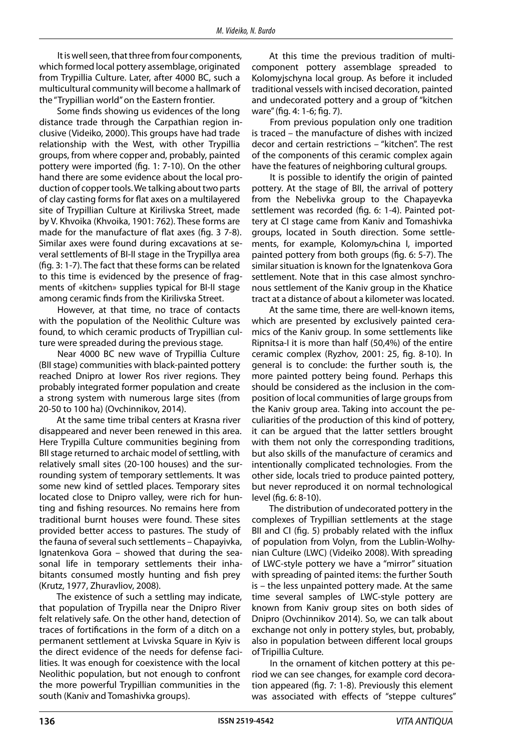It is well seen, that three from four components, which formed local pottery assemblage, originated from Trypillia Culture. Later, after 4000 BC, such a multicultural community will become a hallmark of the "Trypillian world" on the Eastern frontier.

Some finds showing us evidences of the long distance trade through the Carpathian region inclusive (Videiko, 2000). This groups have had trade relationship with the West, with other Trypillia groups, from where copper and, probably, painted pottery were imported (fig. 1: 7-10). On the other hand there are some evidence about the local production of copper tools. We talking about two parts of clay casting forms for flat axes on a multilayered site of Trypillian Culture at Kirilivska Street, made by V. Khvoika (Khvoika, 1901: 762). These forms are made for the manufacture of flat axes (fig. 3 7-8). Similar axes were found during excavations at several settlements of BI-II stage in the Trypillya area (fig. 3: 1-7). The fact that these forms can be related to this time is evidenced by the presence of fragments of «kitchen» supplies typical for BI-II stage among ceramic finds from the Kirilivska Street.

However, at that time, no trace of contacts with the population of the Neolithic Culture was found, to which ceramic products of Trypillian culture were spreaded during the previous stage.

Near 4000 BC new wave of Trypillia Culture (BII stage) communities with black-painted pottery reached Dnipro at lower Ros river regions. They probably integrated former population and create a strong system with numerous large sites (from 20-50 to 100 ha) (Ovchinnikov, 2014).

At the same time tribal centers at Krasna river disappeared and never been renewed in this area. Here Trypilla Culture communities begining from BII stage returned to archaic model of settling, with relatively small sites (20-100 houses) and the surrounding system of temporary settlements. It was some new kind of settled places. Temporary sites located close to Dnipro valley, were rich for hunting and fishing resources. No remains here from traditional burnt houses were found. These sites provided better access to pastures. The study of the fauna of several such settlements – Chapayivka, Ignatenkova Gora – showed that during the seasonal life in temporary settlements their inhabitants consumed mostly hunting and fish prey (Krutz, 1977, Zhuravliov, 2008).

The existence of such a settling may indicate, that population of Trypilla near the Dnipro River felt relatively safe. On the other hand, detection of traces of fortifications in the form of a ditch on a permanent settlement at Lvivska Square in Kyiv is the direct evidence of the needs for defense facilities. It was enough for coexistence with the local Neolithic population, but not enough to confront the more powerful Trypillian communities in the south (Kaniv and Tomashivka groups).

At this time the previous tradition of multicomponent pottery assemblage spreaded to Kolomyjschyna local group. As before it included traditional vessels with incised decoration, painted and undecorated pottery and a group of "kitchen ware" (fig. 4: 1-6; fig. 7).

From previous population only one tradition is traced – the manufacture of dishes with incized decor and certain restrictions – "kitchen". The rest of the components of this ceramic complex again have the features of neighboring cultural groups.

It is possible to identify the origin of painted pottery. At the stage of BІI, the arrival of pottery from the Nebelivka group to the Chapayevka settlement was recorded (fig. 6: 1-4). Painted pottery at CI stage came from Kaniv and Tomashivka groups, located in South direction. Some settlements, for example, Kolomyљchina I, imported painted pottery from both groups (fig. 6: 5-7). The similar situation is known for the Ignatenkova Gora settlement. Note that in this case almost synchronous settlement of the Kaniv group in the Khatice tract at a distance of about a kilometer was located.

At the same time, there are well-known items, which are presented by exclusively painted ceramics of the Kaniv group. In some settlements like Ripnitsa-I it is more than half (50,4%) of the entire ceramic complex (Ryzhov, 2001: 25, fig. 8-10). In general is to conclude: the further south is, the more painted pottery being found. Perhaps this should be considered as the inclusion in the composition of local communities of large groups from the Kaniv group area. Taking into account the peculiarities of the production of this kind of pottery, it can be argued that the latter settlers brought with them not only the corresponding traditions, but also skills of the manufacture of ceramics and intentionally complicated technologies. From the other side, locals tried to produce painted pottery, but never reproduced it on normal technological level (fig. 6: 8-10).

The distribution of undecorated pottery in the complexes of Trypillian settlements at the stage BII and CI (fig. 5) probably related with the influx of population from Volyn, from the Lublin-Wolhynian Culture (LWC) (Videiko 2008). With spreading of LWC-style pottery we have a "mirror" situation with spreading of painted items: the further South is – the less unpainted pottery made. At the same time several samples of LWC-style pottery are known from Kaniv group sites on both sides of Dnipro (Ovchinnikov 2014). So, we can talk about exchange not only in pottery styles, but, probably, also in population between different local groups of Tripillia Culture.

In the ornament of kitchen pottery at this period we can see changes, for example cord decoration appeared (fig. 7: 1-8). Previously this element was associated with effects of "steppe cultures"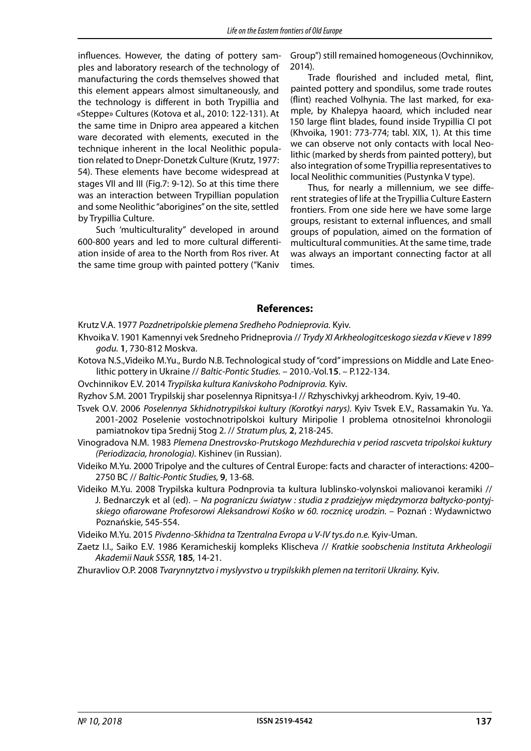influences. However, the dating of pottery samples and laboratory research of the technology of manufacturing the cords themselves showed that this element appears almost simultaneously, and the technology is different in both Trypillia and «Steppe» Cultures (Kotova et al., 2010: 122-131). At the same time in Dnipro area appeared a kitchen ware decorated with elements, executed in the technique inherent in the local Neolithic population related to Dnepr-Donetzk Culture (Krutz, 1977: 54). These elements have become widespread at stages VII and III (Fig.7: 9-12). So at this time there was an interaction between Trypillian population and some Neolithic "aborigines" on the site, settled by Trypillia Culture.

Such 'multiculturality" developed in around 600-800 years and led to more cultural differentiation inside of area to the North from Ros river. At the same time group with painted pottery ("Kaniv

Group") still remained homogeneous (Ovchinnikov, 2014).

Trade flourished and included metal, flint, painted pottery and spondilus, some trade routes (flint) reached Volhynia. The last marked, for example, by Khalepya haoard, which included near 150 large flint blades, found inside Trypillia CI pot (Khvoika, 1901: 773-774; tabl. XIX, 1). At this time we can observe not only contacts with local Neolithic (marked by sherds from painted pottery), but also integration of some Trypillia representatives to local Neolithic communities (Pustynka V type).

Thus, for nearly a millennium, we see different strategies of life at the Trypillia Culture Eastern frontiers. From one side here we have some large groups, resistant to external influences, and small groups of population, aimed on the formation of multicultural communities. At the same time, trade was always an important connecting factor at all times.

### **References:**

Krutz V.A. 1977 *Pozdnetripolskie plemena Sredheho Podnieprovia.* Kyiv.

- Khvoika V. 1901 Kamennyi vek Sredneho Pridneprovia // *Trydy XI Arkheologitceskogo siezda v Kieve v 1899 godu.* **1**, 730-812 Moskva.
- Kotova N.S.,Videiko M.Yu., Burdo N.B. Technological study of "cord" impressions on Middle and Late Eneolithic pottery in Ukraine // *Baltic-Pontic Studies.* – 2010.-Vol.**15**. – P.122-134.
- Ovchinnikov E.V. 2014 *Trypilska kultura Kanivskoho Podniprovia.* Kyiv.
- Ryzhov S.M. 2001 Trypilskij shar poselennya Ripnitsya-I // Rzhyschivkyj arkheodrom. Kyiv, 19-40.
- Tsvek O.V. 2006 *Poselennya Skhidnotrypilskoi kultury (Korotkyi narys).* Kyiv Tsvek E.V., Rassamakin Yu. Ya. 2001-2002 Poselenie vostochnotripolskoi kultury Miripolie I problema otnositelnoi khronologii pamiatnokov tipa Srednij Stog 2. // *Stratum plus,* **2**, 218-245.
- Vinogradova N.M. 1983 *Plemena Dnestrovsko-Prutskogo Mezhdurechia v period rascveta tripolskoi kuktury (Periodizacia, hronologia).* Kishinev (in Russian).
- Videiko M.Yu. 2000 Tripolye and the cultures of Central Europe: facts and character of interactions: 4200– 2750 BC // *Baltic-Pontic Studies,* **9**, 13-68.
- Videiko M.Yu. 2008 Trypilska kultura Podnprovia ta kultura lublinsko-volynskoi maliovanoi keramiki // J. Bednarczyk et al (ed). – *Na pograniczu światуw : studia z pradziejуw międzymorza bałtycko-pontyj*skiego ofiarowane Profesorowi Aleksandrowi Kośko w 60. rocznicę urodzin. – Poznań : Wydawnictwo Poznańskie, 545-554.

Videiko M.Yu. 2015 *Pivdenno-Skhidna ta Tzentralna Evropa u V-IV tys.do n.e.* Kyiv-Uman.

Zaetz I.I., Saiko E.V. 1986 Keramicheskij kompleks Klischeva // *Кratkie soobschenia Instituta Arkheologii Akademii Nauk SSSR,* **185***,* 14-21.

Zhuravliov O.P. 2008 *Tvarynnytztvo i myslyvstvo u trypilskikh plemen na territorii Ukrainy.* Kyiv.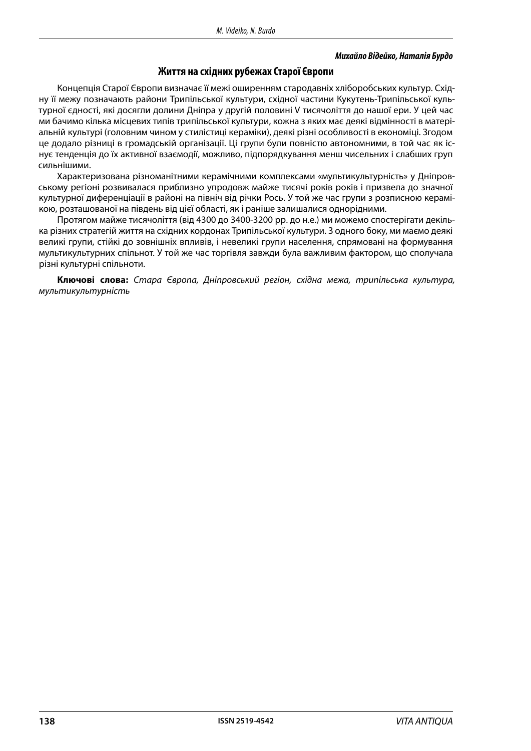#### *Михайло Відейко, Наталія Бурдо*

## **Життя на східних рубежах Старої Європи**

Концепція Старої Європи визначає її межі оширенням стародавніх хліборобських культур. Східну її межу позначають райони Трипільської культури, східної частини Кукутень-Трипільської культурної єдності, які досягли долини Дніпра у другій половині V тисячоліття до нашої ери. У цей час ми бачимо кілька місцевих типів трипільської культури, кожна з яких має деякі відмінності в матеріальній культурі (головним чином у стилістиці кераміки), деякі різні особливості в економіці. Згодом це додало різниці в громадській організації. Ці групи були повністю автономними, в той час як існує тенденція до їх активної взаємодії, можливо, підпорядкування менш чисельних і слабших груп сильнішими.

Характеризована різноманітними керамічними комплексами «мультикультурність» у Дніпровському регіоні розвивалася приблизно упродовж майже тисячі років років і призвела до значної культурної диференціації в районі на північ від річки Рось. У той же час групи з розписною керамікою, розташованої на південь від цієї області, як і раніше залишалися однорідними.

Протягом майже тисячоліття (від 4300 до 3400-3200 рр. до н.е.) ми можемо спостерігати декілька різних стратегій життя на східних кордонах Трипільської культури. З одного боку, ми маємо деякі великі групи, стійкі до зовнішніх впливів, і невеликі групи населення, спрямовані на формування мультикультурних спільнот. У той же час торгівля завжди була важливим фактором, що сполучала різні культурні спільноти.

**Ключові слова:** *Стара Європа, Дніпровський регіон, східна межа, трипільська культура, мультикультурність*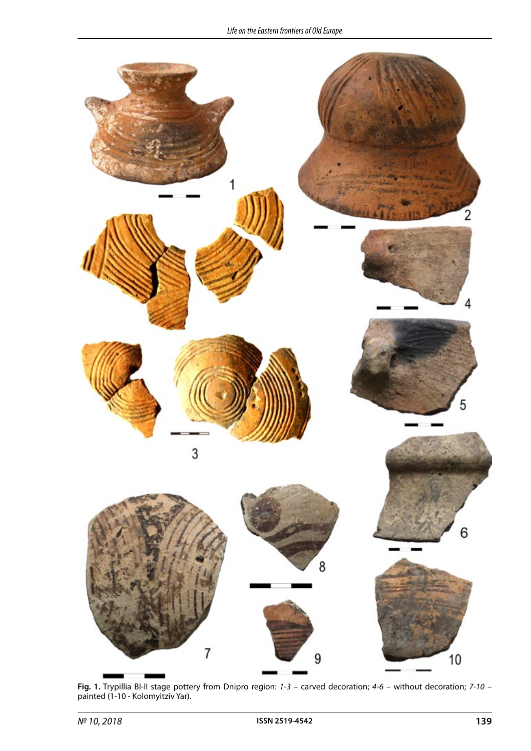

**Fig. 1.** Trypillia BI-II stage pottery from Dnipro region: *1-3* – carved decoration; *4-6* – without decoration; *7-10* – painted (1-10 - Kolomyitziv Yar).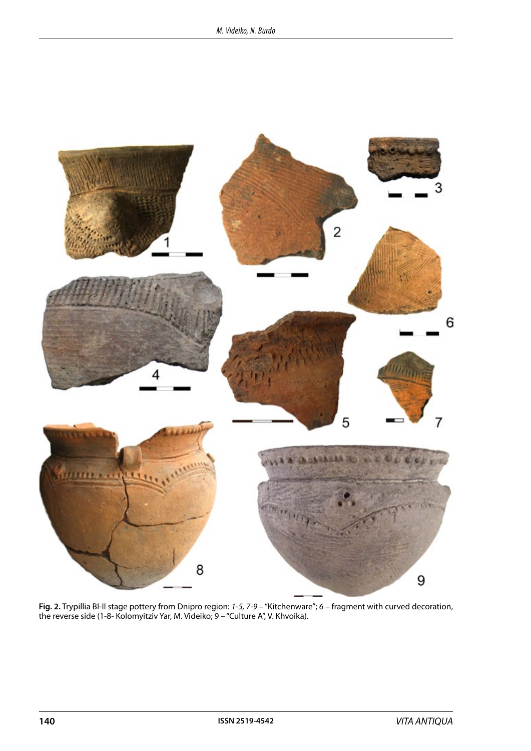

**Fig. 2.** Trypillia BI-II stage pottery from Dnipro region: *1-5, 7-9* – "Kitchenware"; *6* – fragment with curved decoration, the reverse side (1-8- Kolomyitziv Yar, M. Videiko; 9 – "Culture A", V. Khvoika).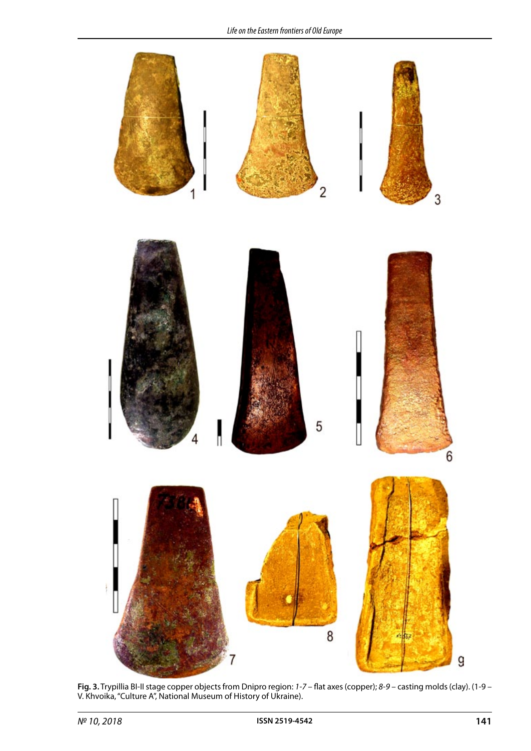

**Fig. 3.** Trypillia BI-II stage copper objects from Dnipro region: *1-7* – flat axes (copper); *8-9* – casting molds (clay). (1-9 – V. Khvoika, "Culture A", National Museum of History of Ukraine).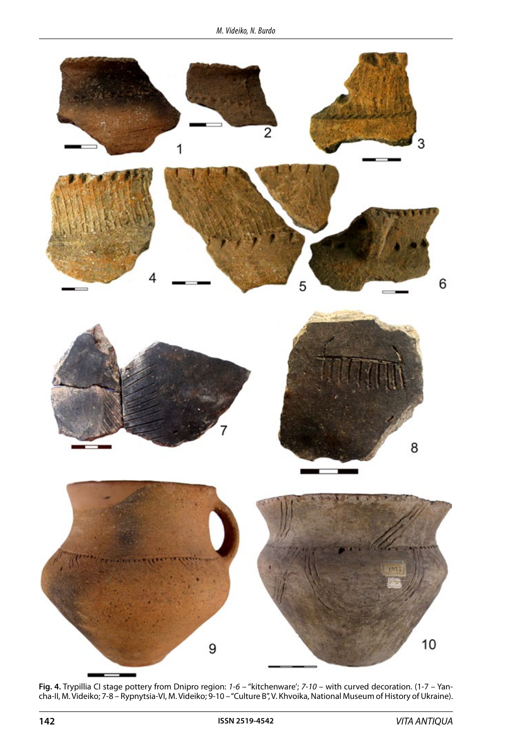

**Fig. 4.** Trypillia CI stage pottery from Dnipro region: *1-6* – "kitchenware'; *7-10* – with curved decoration. (1-7 – Yancha-II, M. Videiko; 7-8 – Rypnytsia-VI, M. Videiko; 9-10 – "Culture B", V. Khvoika, National Museum of History of Ukraine).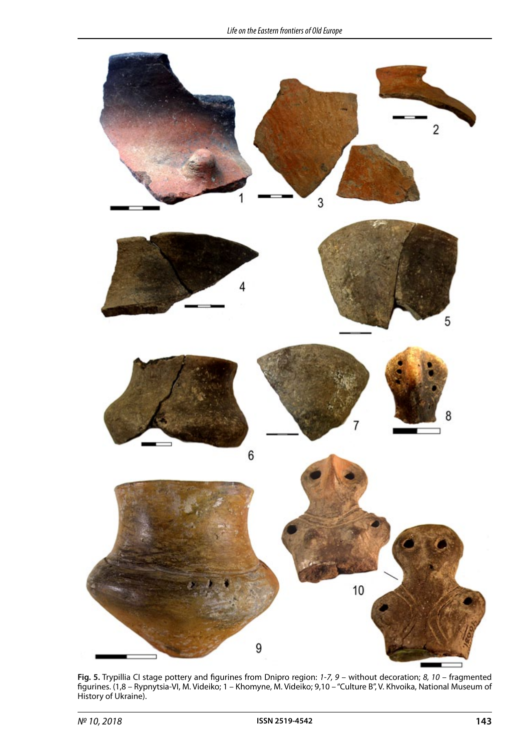![](_page_8_Figure_1.jpeg)

**Fig. 5.** Trypillia CI stage pottery and figurines from Dnipro region: *1-7, 9* – without decoration; *8, 10* – fragmented figurines. (1,8 – Rypnytsia-VI, M. Videiko; 1 – Khomyne, M. Videiko; 9,10 – "Culture B", V. Khvoika, National Museum of History of Ukraine).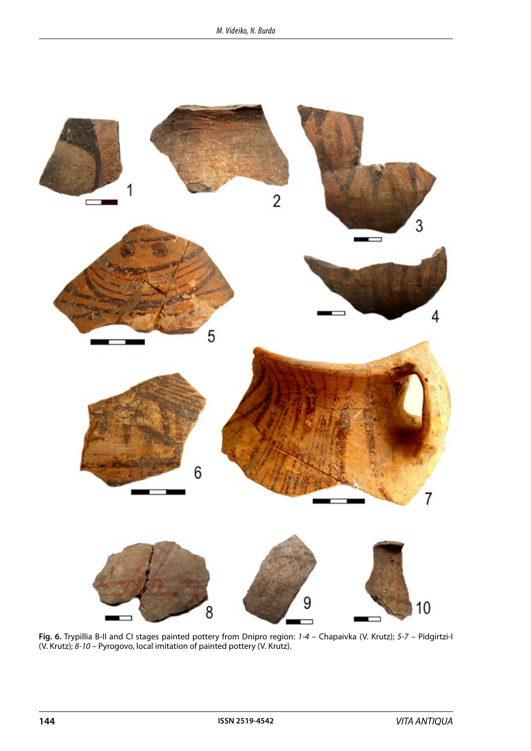![](_page_9_Figure_1.jpeg)

**Fig. 6.** Trypillia B-II and CI stages painted pottery from Dnipro region: *1-4* – Chapaivka (V. Krutz); *5-7* – Pidgirtzi-I (V. Krutz); *8-10* – Pyrogovo, local imitation of painted pottery (V. Krutz).